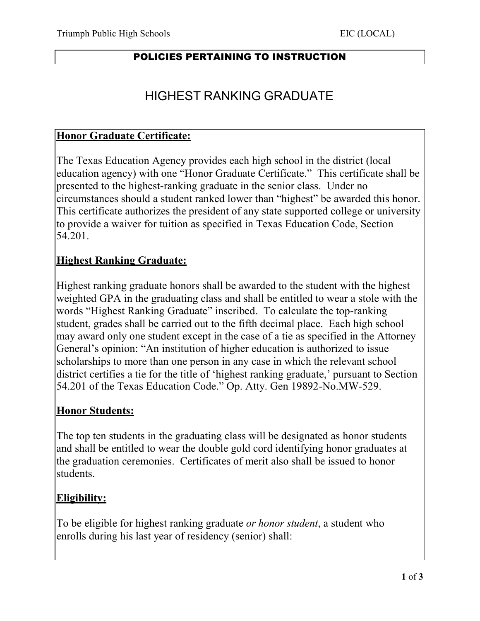#### POLICIES PERTAINING TO INSTRUCTION

# HIGHEST RANKING GRADUATE

#### **Honor Graduate Certificate:**

The Texas Education Agency provides each high school in the district (local education agency) with one "Honor Graduate Certificate." This certificate shall be presented to the highest-ranking graduate in the senior class. Under no circumstances should a student ranked lower than "highest" be awarded this honor. This certificate authorizes the president of any state supported college or university to provide a waiver for tuition as specified in Texas Education Code, Section 54.201.

### **Highest Ranking Graduate:**

Highest ranking graduate honors shall be awarded to the student with the highest weighted GPA in the graduating class and shall be entitled to wear a stole with the words "Highest Ranking Graduate" inscribed. To calculate the top-ranking student, grades shall be carried out to the fifth decimal place. Each high school may award only one student except in the case of a tie as specified in the Attorney General's opinion: "An institution of higher education is authorized to issue scholarships to more than one person in any case in which the relevant school district certifies a tie for the title of 'highest ranking graduate,' pursuant to Section 54.201 of the Texas Education Code." Op. Atty. Gen 19892-No.MW-529.

### **Honor Students:**

The top ten students in the graduating class will be designated as honor students and shall be entitled to wear the double gold cord identifying honor graduates at the graduation ceremonies. Certificates of merit also shall be issued to honor students.

### **Eligibility:**

To be eligible for highest ranking graduate *or honor student*, a student who enrolls during his last year of residency (senior) shall: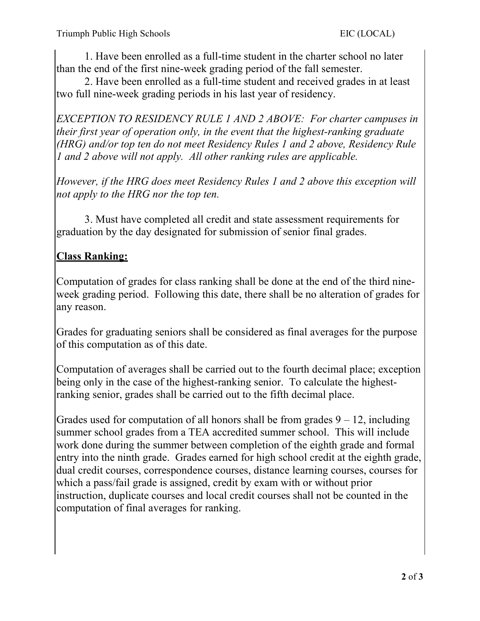1. Have been enrolled as a full-time student in the charter school no later than the end of the first nine-week grading period of the fall semester.

2. Have been enrolled as a full-time student and received grades in at least two full nine-week grading periods in his last year of residency.

*EXCEPTION TO RESIDENCY RULE 1 AND 2 ABOVE: For charter campuses in their first year of operation only, in the event that the highest-ranking graduate (HRG) and/or top ten do not meet Residency Rules 1 and 2 above, Residency Rule 1 and 2 above will not apply. All other ranking rules are applicable.*

*However, if the HRG does meet Residency Rules 1 and 2 above this exception will not apply to the HRG nor the top ten.*

3. Must have completed all credit and state assessment requirements for graduation by the day designated for submission of senior final grades.

## **Class Ranking:**

Computation of grades for class ranking shall be done at the end of the third nineweek grading period. Following this date, there shall be no alteration of grades for any reason.

Grades for graduating seniors shall be considered as final averages for the purpose of this computation as of this date.

Computation of averages shall be carried out to the fourth decimal place; exception being only in the case of the highest-ranking senior. To calculate the highestranking senior, grades shall be carried out to the fifth decimal place.

Grades used for computation of all honors shall be from grades  $9 - 12$ , including summer school grades from a TEA accredited summer school. This will include work done during the summer between completion of the eighth grade and formal entry into the ninth grade. Grades earned for high school credit at the eighth grade, dual credit courses, correspondence courses, distance learning courses, courses for which a pass/fail grade is assigned, credit by exam with or without prior instruction, duplicate courses and local credit courses shall not be counted in the computation of final averages for ranking.